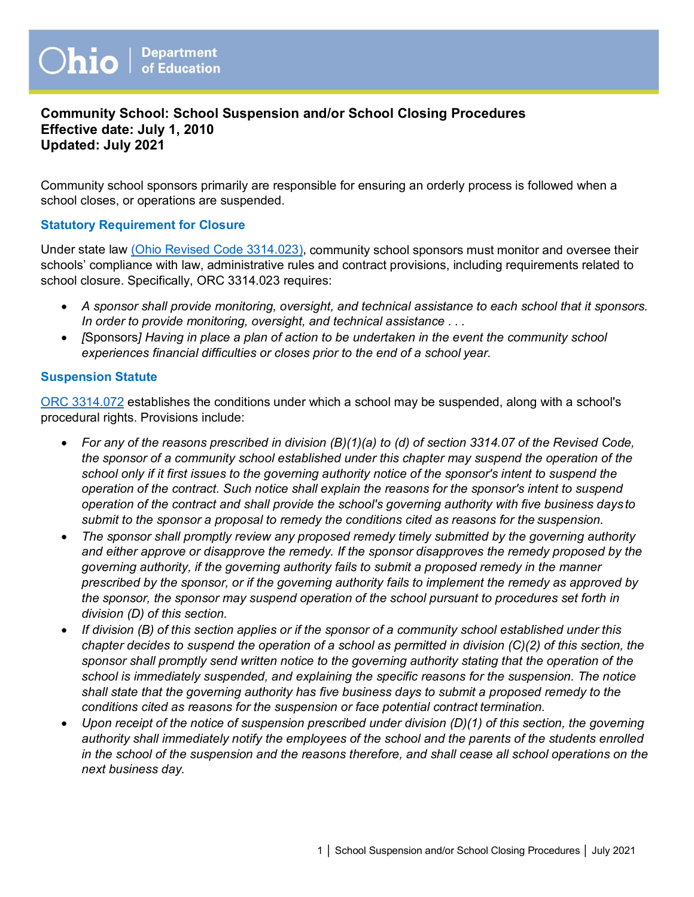## **Community School: School Suspension and/or School Closing Procedures Effective date: July 1, 2010 Updated: July 2021**

Community school sponsors primarily are responsible for ensuring an orderly process is followed when a school closes, or operations are suspended.

#### **Statutory Requirement for Closure**

Under state law (O[hio Revised Code 3314.023\), c](http://codes.ohio.gov/orc/3314.023v1)ommunity school sponsors must monitor and oversee their schools' compliance with law, administrative rules and contract provisions, including requirements related to school closure. Specifically, ORC 3314.023 requires:

- *A sponsor shall provide monitoring, oversight, and technical assistance to each school that it sponsors. In order to provide monitoring, oversight, and technical assistance . . .*
- *[*Sponsors*] Having in place a plan of action to be undertaken in the event the community school experiences financial difficulties or closes prior to the end of a school year.*

#### **Suspension Statute**

[ORC 3314.072](http://codes.ohio.gov/orc/3314.072) establishes the conditions under which a school may be suspended, along with a school's procedural rights. Provisions include:

- *For any of the reasons prescribed in division (B)(1)(a) to (d) of section 3314.07 of the Revised Code, the sponsor of a community school established under this chapter may suspend the operation of the school only if it first issues to the governing authority notice of the sponsor's intent to suspend the operation of the contract. Such notice shall explain the reasons for the sponsor's intent to suspend operation of the contract and shall provide the school's governing authority with five business days to submit to the sponsor a proposal to remedy the conditions cited as reasons for the suspension.*
- *The sponsor shall promptly review any proposed remedy timely submitted by the governing authority and either approve or disapprove the remedy. If the sponsor disapproves the remedy proposed by the governing authority, if the governing authority fails to submit a proposed remedy in the manner prescribed by the sponsor, or if the governing authority fails to implement the remedy as approved by the sponsor, the sponsor may suspend operation of the school pursuant to procedures set forth in division (D) of this section.*
- *If division (B) of this section applies or if the sponsor of a community school established under this chapter decides to suspend the operation of a school as permitted in division (C)(2) of this section, the sponsor shall promptly send written notice to the governing authority stating that the operation of the school is immediately suspended, and explaining the specific reasons for the suspension. The notice shall state that the governing authority has five business days to submit a proposed remedy to the conditions cited as reasons for the suspension or face potential contract termination.*
- *Upon receipt of the notice of suspension prescribed under division (D)(1) of this section, the governing authority shall immediately notify the employees of the school and the parents of the students enrolled in the school of the suspension and the reasons therefore, and shall cease all school operations on the next business day.*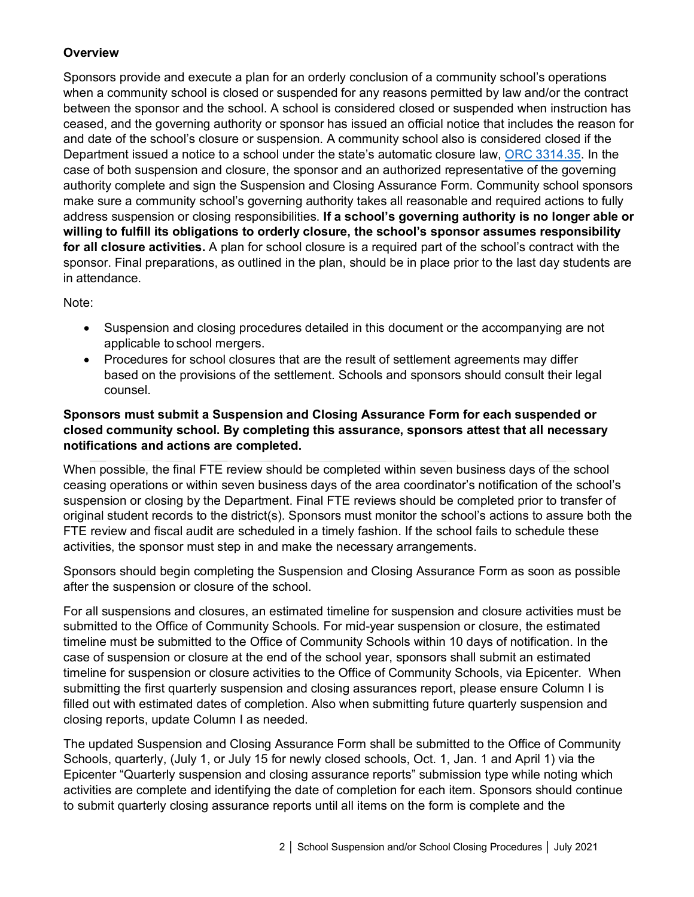# **Overview**

Sponsors provide and execute a plan for an orderly conclusion of a community school's operations when a community school is closed or suspended for any reasons permitted by law and/or the contract between the sponsor and the school. A school is considered closed or suspended when instruction has ceased, and the governing authority or sponsor has issued an official notice that includes the reason for and date of the school's closure or suspension. A community school also is considered closed if the Department issued a notice to a school under the state's automatic closure law, [ORC 3314.35.](http://codes.ohio.gov/orc/3314.35) In the case of both suspension and closure, the sponsor and an authorized representative of the governing authority complete and sign the Suspension and Closing Assurance Form. Community school sponsors make sure a community school's governing authority takes all reasonable and required actions to fully address suspension or closing responsibilities. **If a school's governing authority is no longer able or willing to fulfill its obligations to orderly closure, the school's sponsor assumes responsibility for all closure activities.** A plan for school closure is a required part of the school's contract with the sponsor. Final preparations, as outlined in the plan, should be in place prior to the last day students are in attendance.

Note:

- Suspension and closing procedures detailed in this document or the accompanying are not applicable to school mergers.
- Procedures for school closures that are the result of settlement agreements may differ based on the provisions of the settlement. Schools and sponsors should consult their legal counsel.

# **Sponsors must submit a Suspension and Closing Assurance Form for each suspended or closed community school. By completing this assurance, sponsors attest that all necessary notifications and actions are completed.**

When possible, the final FTE review should be completed within seven business days of the school ceasing operations or within seven business days of the area coordinator's notification of the school's suspension or closing by the Department. Final FTE reviews should be completed prior to transfer of original student records to the district(s). Sponsors must monitor the school's actions to assure both the FTE review and fiscal audit are scheduled in a timely fashion. If the school fails to schedule these activities, the sponsor must step in and make the necessary arrangements.

Sponsors should begin completing the Suspension and Closing Assurance Form as soon as possible after the suspension or closure of the school.

For all suspensions and closures, an estimated timeline for suspension and closure activities must be submitted to the Office of Community Schools. For mid-year suspension or closure, the estimated timeline must be submitted to the Office of Community Schools within 10 days of notification. In the case of suspension or closure at the end of the school year, sponsors shall submit an estimated timeline for suspension or closure activities to the Office of Community Schools, via Epicenter. When submitting the first quarterly suspension and closing assurances report, please ensure Column I is filled out with estimated dates of completion. Also when submitting future quarterly suspension and closing reports, update Column I as needed.

The updated Suspension and Closing Assurance Form shall be submitted to the Office of Community Schools, quarterly, (July 1, or July 15 for newly closed schools, Oct. 1, Jan. 1 and April 1) via the Epicenter "Quarterly suspension and closing assurance reports" submission type while noting which activities are complete and identifying the date of completion for each item. Sponsors should continue to submit quarterly closing assurance reports until all items on the form is complete and the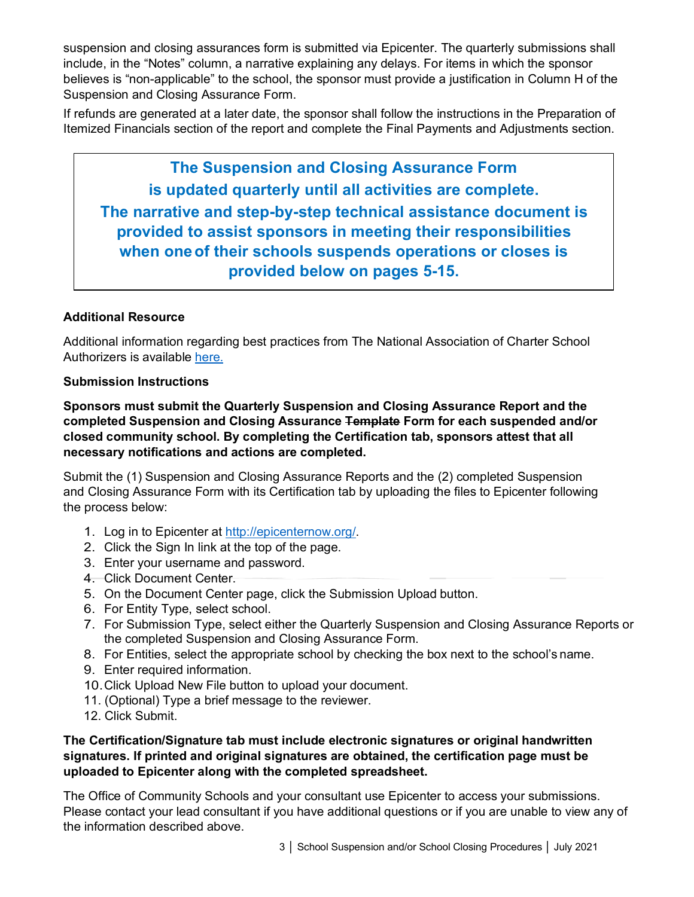suspension and closing assurances form is submitted via Epicenter. The quarterly submissions shall include, in the "Notes" column, a narrative explaining any delays. For items in which the sponsor believes is "non-applicable" to the school, the sponsor must provide a justification in Column H of the Suspension and Closing Assurance Form.

If refunds are generated at a later date, the sponsor shall follow the instructions in the Preparation of Itemized Financials section of the report and complete the Final Payments and Adjustments section.

**The Suspension and Closing Assurance Form is updated quarterly until all activities are complete. The narrative and step-by-step technical assistance document is provided to assist sponsors in meeting their responsibilities when oneof their schools suspends operations or closes is provided below on pages 5-15.**

## **Additional Resource**

Additional information regarding best practices from The National Association of Charter School Authorizers is available [here.](http://www.qualitycharters.org/wp-content/uploads/2015/11/IssueBrief_NavigatingTheClosureProcess_2011.05.pdf)

## **Submission Instructions**

**Sponsors must submit the Quarterly Suspension and Closing Assurance Report and the completed Suspension and Closing Assurance Template Form for each suspended and/or closed community school. By completing the Certification tab, sponsors attest that all necessary notifications and actions are completed.**

Submit the (1) Suspension and Closing Assurance Reports and the (2) completed Suspension and Closing Assurance Form with its Certification tab by uploading the files to Epicenter following the process below:

- 1. Log in to Epicenter at [http://epicenternow.org/.](http://epicenternow.org/)
- 2. Click the Sign In link at the top of the page.
- 3. Enter your username and password.
- 4. Click Document Center.
- 5. On the Document Center page, click the Submission Upload button.
- 6. For Entity Type, select school.
- 7. For Submission Type, select either the Quarterly Suspension and Closing Assurance Reports or the completed Suspension and Closing Assurance Form.
- 8. For Entities, select the appropriate school by checking the box next to the school's name.
- 9. Enter required information.
- 10.Click Upload New File button to upload your document.
- 11. (Optional) Type a brief message to the reviewer.
- 12. Click Submit.

## **The Certification/Signature tab must include electronic signatures or original handwritten signatures. If printed and original signatures are obtained, the certification page must be uploaded to Epicenter along with the completed spreadsheet.**

The Office of Community Schools and your consultant use Epicenter to access your submissions. Please contact your lead consultant if you have additional questions or if you are unable to view any of the information described above.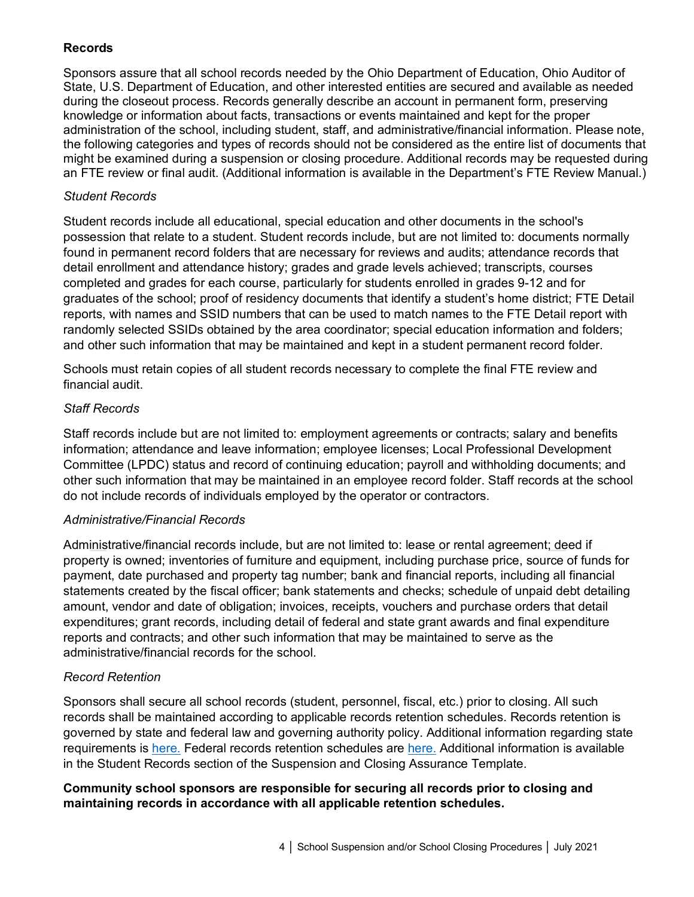## **Records**

Sponsors assure that all school records needed by the Ohio Department of Education, Ohio Auditor of State, U.S. Department of Education, and other interested entities are secured and available as needed during the closeout process. Records generally describe an account in permanent form, preserving knowledge or information about facts, transactions or events maintained and kept for the proper administration of the school, including student, staff, and administrative/financial information. Please note, the following categories and types of records should not be considered as the entire list of documents that might be examined during a suspension or closing procedure. Additional records may be requested during an FTE review or final audit. (Additional information is available in the Department's FTE Review Manual.)

## *Student Records*

Student records include all educational, special education and other documents in the school's possession that relate to a student. Student records include, but are not limited to: documents normally found in permanent record folders that are necessary for reviews and audits; attendance records that detail enrollment and attendance history; grades and grade levels achieved; transcripts, courses completed and grades for each course, particularly for students enrolled in grades 9-12 and for graduates of the school; proof of residency documents that identify a student's home district; FTE Detail reports, with names and SSID numbers that can be used to match names to the FTE Detail report with randomly selected SSIDs obtained by the area coordinator; special education information and folders; and other such information that may be maintained and kept in a student permanent record folder.

Schools must retain copies of all student records necessary to complete the final FTE review and financial audit.

## *Staff Records*

Staff records include but are not limited to: employment agreements or contracts; salary and benefits information; attendance and leave information; employee licenses; Local Professional Development Committee (LPDC) status and record of continuing education; payroll and withholding documents; and other such information that may be maintained in an employee record folder. Staff records at the school do not include records of individuals employed by the operator or contractors.

## *Administrative/Financial Records*

Administrative/financial records include, but are not limited to: lease or rental agreement; deed if property is owned; inventories of furniture and equipment, including purchase price, source of funds for payment, date purchased and property tag number; bank and financial reports, including all financial statements created by the fiscal officer; bank statements and checks; schedule of unpaid debt detailing amount, vendor and date of obligation; invoices, receipts, vouchers and purchase orders that detail expenditures; grant records, including detail of federal and state grant awards and final expenditure reports and contracts; and other such information that may be maintained to serve as the administrative/financial records for the school.

## *Record Retention*

Sponsors shall secure all school records (student, personnel, fiscal, etc.) prior to closing. All such records shall be maintained according to applicable records retention schedules. Records retention is governed by state and federal law and governing authority policy. Additional information regarding state requirements is [here.](https://www.ohiohistory.org/OHC/media/OHC-Media/Learn/Archives-Library%20Documents/School-Retention-Suggested-Schedule.pdf) Federal records retention schedules are [here.](https://www2.ed.gov/notices/records-management/index.html) Additional information is available in the Student Records section of the Suspension and Closing Assurance Template.

## **Community school sponsors are responsible for securing all records prior to closing and maintaining records in accordance with all applicable retention schedules.**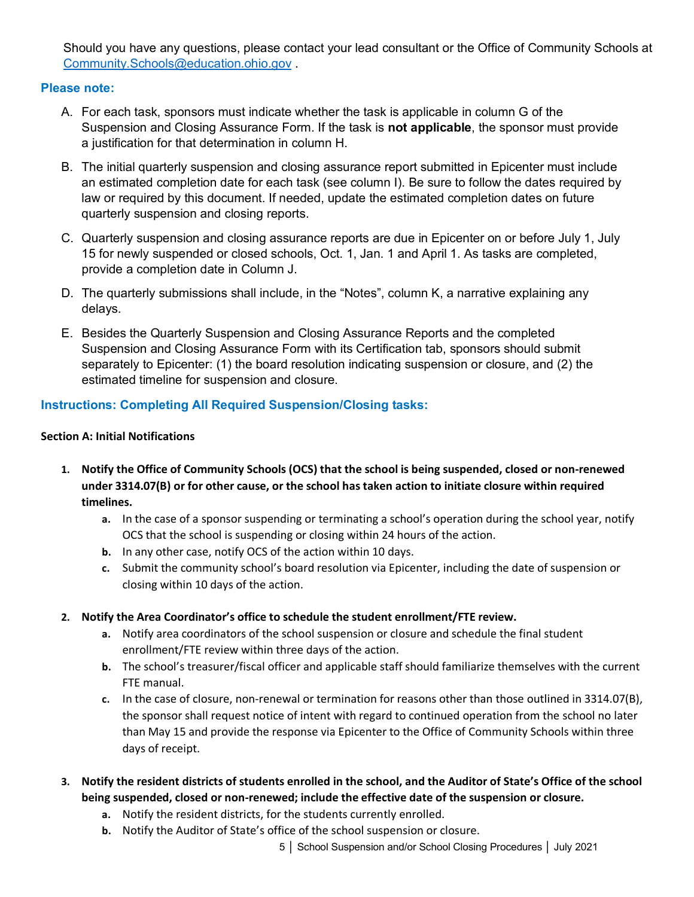Should you have any questions, please contact your lead consultant or the Office of Community Schools at [Community.Schools@education.ohio.gov](mailto:Community.Schools@education.ohio.gov) .

## **Please note:**

- A. For each task, sponsors must indicate whether the task is applicable in column G of the Suspension and Closing Assurance Form. If the task is **not applicable**, the sponsor must provide a justification for that determination in column H.
- B. The initial quarterly suspension and closing assurance report submitted in Epicenter must include an estimated completion date for each task (see column I). Be sure to follow the dates required by law or required by this document. If needed, update the estimated completion dates on future quarterly suspension and closing reports.
- C. Quarterly suspension and closing assurance reports are due in Epicenter on or before July 1, July 15 for newly suspended or closed schools, Oct. 1, Jan. 1 and April 1. As tasks are completed, provide a completion date in Column J.
- D. The quarterly submissions shall include, in the "Notes", column K, a narrative explaining any delays.
- E. Besides the Quarterly Suspension and Closing Assurance Reports and the completed Suspension and Closing Assurance Form with its Certification tab, sponsors should submit separately to Epicenter: (1) the board resolution indicating suspension or closure, and (2) the estimated timeline for suspension and closure.

# **Instructions: Completing All Required Suspension/Closing tasks:**

## **Section A: Initial Notifications**

- **1. Notify the Office of Community Schools (OCS) that the school is being suspended, closed or non-renewed under 3314.07(B) or for other cause, or the school has taken action to initiate closure within required timelines.** 
	- **a.** In the case of a sponsor suspending or terminating a school's operation during the school year, notify OCS that the school is suspending or closing within 24 hours of the action.
	- **b.** In any other case, notify OCS of the action within 10 days.
	- **c.** Submit the community school's board resolution via Epicenter, including the date of suspension or closing within 10 days of the action.
- **2. Notify the Area Coordinator's office to schedule the student enrollment/FTE review.**
	- **a.** Notify area coordinators of the school suspension or closure and schedule the final student enrollment/FTE review within three days of the action.
	- **b.** The school's treasurer/fiscal officer and applicable staff should familiarize themselves with the current FTE manual.
	- **c.** In the case of closure, non-renewal or termination for reasons other than those outlined in 3314.07(B), the sponsor shall request notice of intent with regard to continued operation from the school no later than May 15 and provide the response via Epicenter to the Office of Community Schools within three days of receipt.
- **3. Notify the resident districts of students enrolled in the school, and the Auditor of State's Office of the school being suspended, closed or non-renewed; include the effective date of the suspension or closure.**
	- **a.** Notify the resident districts, for the students currently enrolled.
	- **b.** Notify the Auditor of State's office of the school suspension or closure.
		- 5 │ School Suspension and/or School Closing Procedures │ July 2021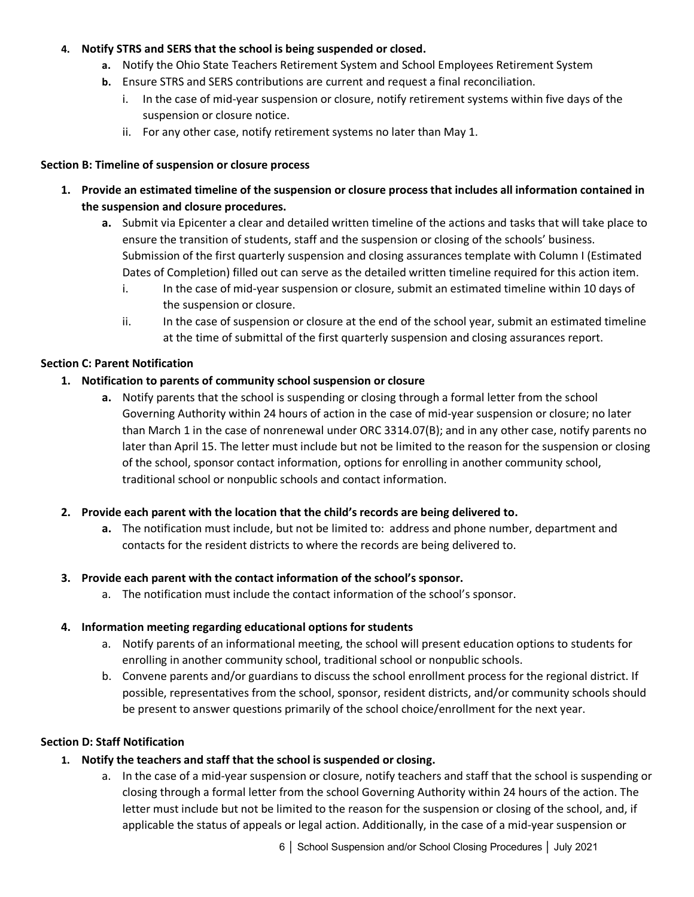## **4. Notify STRS and SERS that the school is being suspended or closed.**

- **a.** Notify the Ohio State Teachers Retirement System and School Employees Retirement System
- **b.** Ensure STRS and SERS contributions are current and request a final reconciliation.
	- i. In the case of mid-year suspension or closure, notify retirement systems within five days of the suspension or closure notice.
	- ii. For any other case, notify retirement systems no later than May 1.

#### **Section B: Timeline of suspension or closure process**

- **1. Provide an estimated timeline of the suspension or closure process that includes all information contained in the suspension and closure procedures.**
	- **a.** Submit via Epicenter a clear and detailed written timeline of the actions and tasks that will take place to ensure the transition of students, staff and the suspension or closing of the schools' business. Submission of the first quarterly suspension and closing assurances template with Column I (Estimated Dates of Completion) filled out can serve as the detailed written timeline required for this action item.
		- i. In the case of mid-year suspension or closure, submit an estimated timeline within 10 days of the suspension or closure.
		- ii. In the case of suspension or closure at the end of the school year, submit an estimated timeline at the time of submittal of the first quarterly suspension and closing assurances report.

#### **Section C: Parent Notification**

#### **1. Notification to parents of community school suspension or closure**

**a.** Notify parents that the school is suspending or closing through a formal letter from the school Governing Authority within 24 hours of action in the case of mid-year suspension or closure; no later than March 1 in the case of nonrenewal under ORC 3314.07(B); and in any other case, notify parents no later than April 15. The letter must include but not be limited to the reason for the suspension or closing of the school, sponsor contact information, options for enrolling in another community school, traditional school or nonpublic schools and contact information.

#### **2. Provide each parent with the location that the child's records are being delivered to.**

**a.** The notification must include, but not be limited to: address and phone number, department and contacts for the resident districts to where the records are being delivered to.

#### **3. Provide each parent with the contact information of the school's sponsor.**

a. The notification must include the contact information of the school's sponsor.

#### **4. Information meeting regarding educational options for students**

- a. Notify parents of an informational meeting, the school will present education options to students for enrolling in another community school, traditional school or nonpublic schools.
- b. Convene parents and/or guardians to discuss the school enrollment process for the regional district. If possible, representatives from the school, sponsor, resident districts, and/or community schools should be present to answer questions primarily of the school choice/enrollment for the next year.

#### **Section D: Staff Notification**

- **1. Notify the teachers and staff that the school is suspended or closing.**
	- a. In the case of a mid-year suspension or closure, notify teachers and staff that the school is suspending or closing through a formal letter from the school Governing Authority within 24 hours of the action. The letter must include but not be limited to the reason for the suspension or closing of the school, and, if applicable the status of appeals or legal action. Additionally, in the case of a mid-year suspension or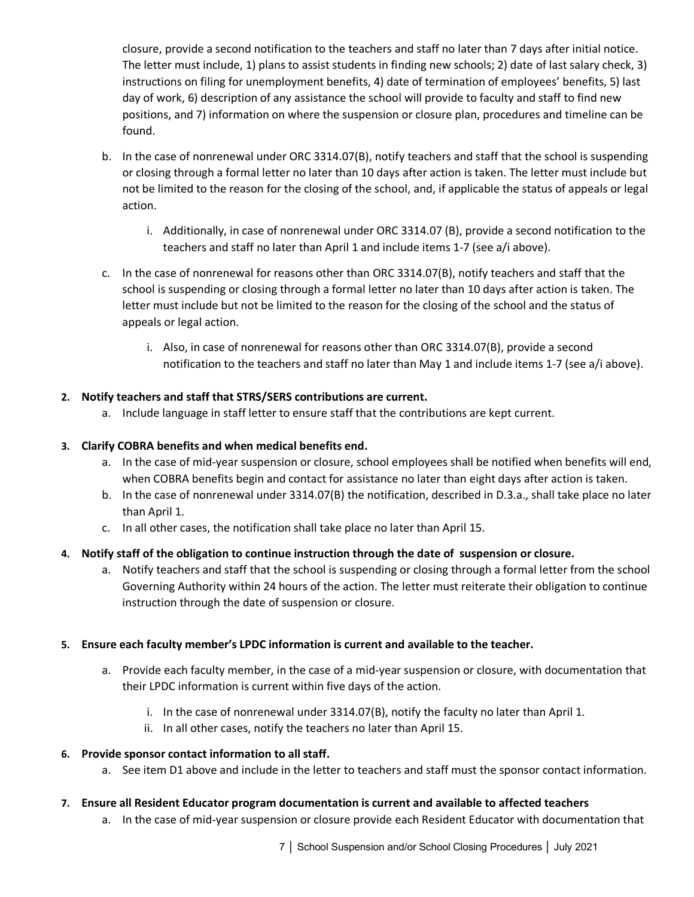closure, provide a second notification to the teachers and staff no later than 7 days after initial notice. The letter must include, 1) plans to assist students in finding new schools; 2) date of last salary check, 3) instructions on filing for unemployment benefits, 4) date of termination of employees' benefits, 5) last day of work, 6) description of any assistance the school will provide to faculty and staff to find new positions, and 7) information on where the suspension or closure plan, procedures and timeline can be found.

- b. In the case of nonrenewal under ORC 3314.07(B), notify teachers and staff that the school is suspending or closing through a formal letter no later than 10 days after action is taken. The letter must include but not be limited to the reason for the closing of the school, and, if applicable the status of appeals or legal action.
	- i. Additionally, in case of nonrenewal under ORC 3314.07 (B), provide a second notification to the teachers and staff no later than April 1 and include items 1-7 (see a/i above).
- c. In the case of nonrenewal for reasons other than ORC 3314.07(B), notify teachers and staff that the school is suspending or closing through a formal letter no later than 10 days after action is taken. The letter must include but not be limited to the reason for the closing of the school and the status of appeals or legal action.
	- i. Also, in case of nonrenewal for reasons other than ORC 3314.07(B), provide a second notification to the teachers and staff no later than May 1 and include items 1-7 (see a/i above).

## **2. Notify teachers and staff that STRS/SERS contributions are current.**

a. Include language in staff letter to ensure staff that the contributions are kept current.

## **3. Clarify COBRA benefits and when medical benefits end.**

- a. In the case of mid-year suspension or closure, school employees shall be notified when benefits will end, when COBRA benefits begin and contact for assistance no later than eight days after action is taken.
- b. In the case of nonrenewal under 3314.07(B) the notification, described in D.3.a., shall take place no later than April 1.
- c. In all other cases, the notification shall take place no later than April 15.

# **4. Notify staff of the obligation to continue instruction through the date of suspension or closure.**

a. Notify teachers and staff that the school is suspending or closing through a formal letter from the school Governing Authority within 24 hours of the action. The letter must reiterate their obligation to continue instruction through the date of suspension or closure.

## **5. Ensure each faculty member's LPDC information is current and available to the teacher.**

- a. Provide each faculty member, in the case of a mid-year suspension or closure, with documentation that their LPDC information is current within five days of the action.
	- i. In the case of nonrenewal under 3314.07(B), notify the faculty no later than April 1.
	- ii. In all other cases, notify the teachers no later than April 15.

## **6. Provide sponsor contact information to all staff.**

a. See item D1 above and include in the letter to teachers and staff must the sponsor contact information.

## **7. Ensure all Resident Educator program documentation is current and available to affected teachers**

a. In the case of mid-year suspension or closure provide each Resident Educator with documentation that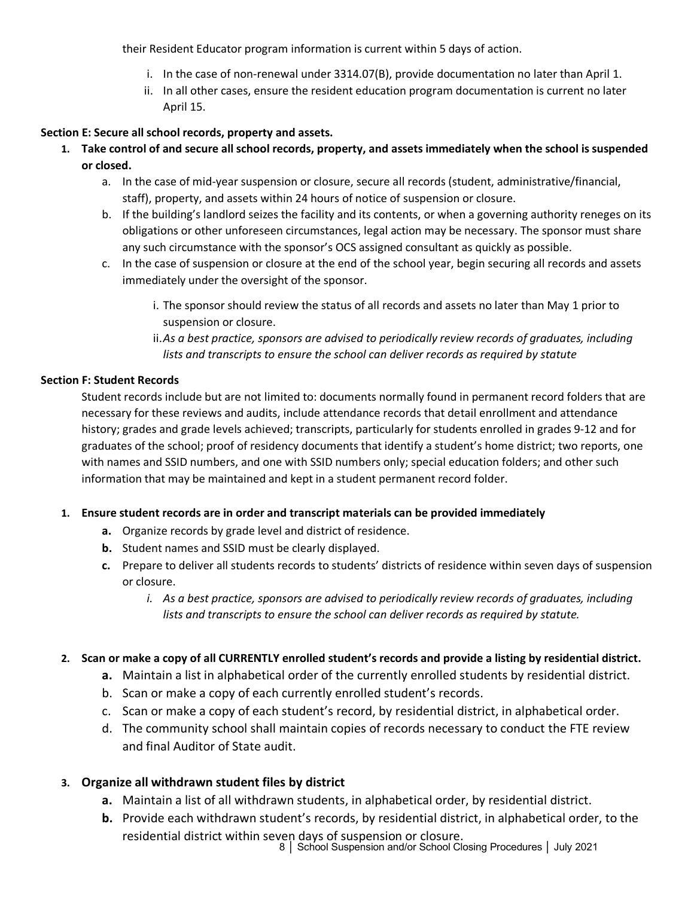their Resident Educator program information is current within 5 days of action.

- i. In the case of non-renewal under 3314.07(B), provide documentation no later than April 1.
- ii. In all other cases, ensure the resident education program documentation is current no later April 15.

## **Section E: Secure all school records, property and assets.**

- **1. Take control of and secure all school records, property, and assets immediately when the school is suspended or closed.**
	- a. In the case of mid-year suspension or closure, secure all records (student, administrative/financial, staff), property, and assets within 24 hours of notice of suspension or closure.
	- b. If the building's landlord seizes the facility and its contents, or when a governing authority reneges on its obligations or other unforeseen circumstances, legal action may be necessary. The sponsor must share any such circumstance with the sponsor's OCS assigned consultant as quickly as possible.
	- c. In the case of suspension or closure at the end of the school year, begin securing all records and assets immediately under the oversight of the sponsor.
		- i. The sponsor should review the status of all records and assets no later than May 1 prior to suspension or closure.
		- ii.*As a best practice, sponsors are advised to periodically review records of graduates, including lists and transcripts to ensure the school can deliver records as required by statute*

## **Section F: Student Records**

Student records include but are not limited to: documents normally found in permanent record folders that are necessary for these reviews and audits, include attendance records that detail enrollment and attendance history; grades and grade levels achieved; transcripts, particularly for students enrolled in grades 9-12 and for graduates of the school; proof of residency documents that identify a student's home district; two reports, one with names and SSID numbers, and one with SSID numbers only; special education folders; and other such information that may be maintained and kept in a student permanent record folder.

## **1. Ensure student records are in order and transcript materials can be provided immediately**

- **a.** Organize records by grade level and district of residence.
- **b.** Student names and SSID must be clearly displayed.
- **c.** Prepare to deliver all students records to students' districts of residence within seven days of suspension or closure.
	- *i. As a best practice, sponsors are advised to periodically review records of graduates, including lists and transcripts to ensure the school can deliver records as required by statute.*

## **2. Scan or make a copy of all CURRENTLY enrolled student's records and provide a listing by residential district.**

- **a.** Maintain a list in alphabetical order of the currently enrolled students by residential district.
- b. Scan or make a copy of each currently enrolled student's records.
- c. Scan or make a copy of each student's record, by residential district, in alphabetical order.
- d. The community school shall maintain copies of records necessary to conduct the FTE review and final Auditor of State audit.

# **3. Organize all withdrawn student files by district**

- **a.** Maintain a list of all withdrawn students, in alphabetical order, by residential district.
- **b.** Provide each withdrawn student's records, by residential district, in alphabetical order, to the residential district within seven days of suspension or closure.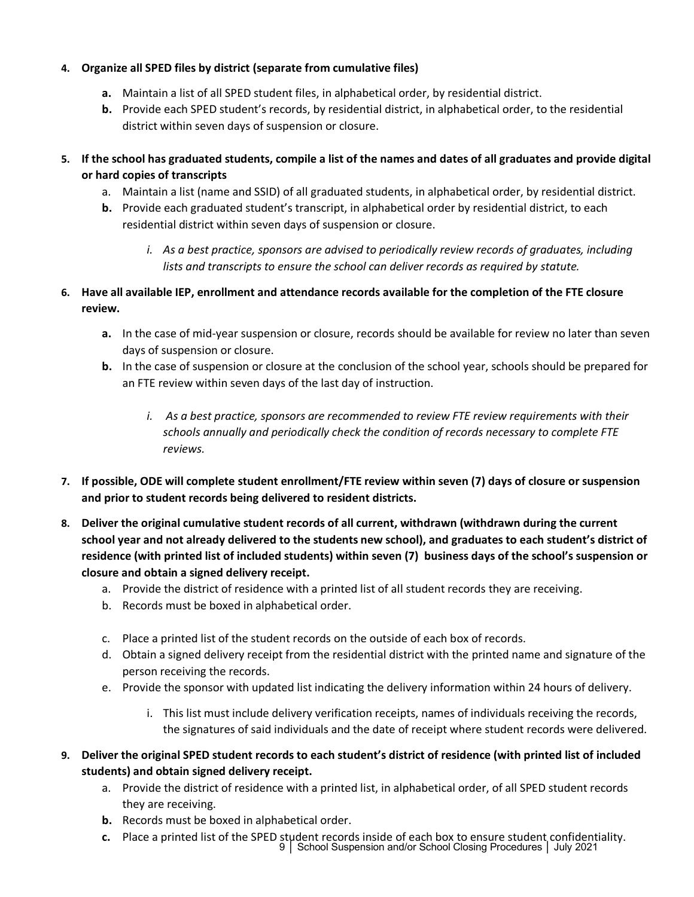## **4. Organize all SPED files by district (separate from cumulative files)**

- **a.** Maintain a list of all SPED student files, in alphabetical order, by residential district.
- **b.** Provide each SPED student's records, by residential district, in alphabetical order, to the residential district within seven days of suspension or closure.
- **5. If the school has graduated students, compile a list of the names and dates of all graduates and provide digital or hard copies of transcripts** 
	- a. Maintain a list (name and SSID) of all graduated students, in alphabetical order, by residential district.
	- **b.** Provide each graduated student's transcript, in alphabetical order by residential district, to each residential district within seven days of suspension or closure.
		- *i. As a best practice, sponsors are advised to periodically review records of graduates, including lists and transcripts to ensure the school can deliver records as required by statute.*
- **6. Have all available IEP, enrollment and attendance records available for the completion of the FTE closure review.**
	- **a.** In the case of mid-year suspension or closure, records should be available for review no later than seven days of suspension or closure.
	- **b.** In the case of suspension or closure at the conclusion of the school year, schools should be prepared for an FTE review within seven days of the last day of instruction.
		- *i. As a best practice, sponsors are recommended to review FTE review requirements with their schools annually and periodically check the condition of records necessary to complete FTE reviews.*
- **7. If possible, ODE will complete student enrollment/FTE review within seven (7) days of closure or suspension and prior to student records being delivered to resident districts.**
- **8. Deliver the original cumulative student records of all current, withdrawn (withdrawn during the current school year and not already delivered to the students new school), and graduates to each student's district of residence (with printed list of included students) within seven (7) business days of the school's suspension or closure and obtain a signed delivery receipt.**
	- a. Provide the district of residence with a printed list of all student records they are receiving.
	- b. Records must be boxed in alphabetical order.
	- c. Place a printed list of the student records on the outside of each box of records.
	- d. Obtain a signed delivery receipt from the residential district with the printed name and signature of the person receiving the records.
	- e. Provide the sponsor with updated list indicating the delivery information within 24 hours of delivery.
		- i. This list must include delivery verification receipts, names of individuals receiving the records, the signatures of said individuals and the date of receipt where student records were delivered.
- **9. Deliver the original SPED student records to each student's district of residence (with printed list of included students) and obtain signed delivery receipt.**
	- a. Provide the district of residence with a printed list, in alphabetical order, of all SPED student records they are receiving.
	- **b.** Records must be boxed in alphabetical order.
	- **c.** Place a printed list of the SPED student records inside of each box to ensure student confidentiality.<br>9 | School Suspension and/or School Closing Procedures | July 2021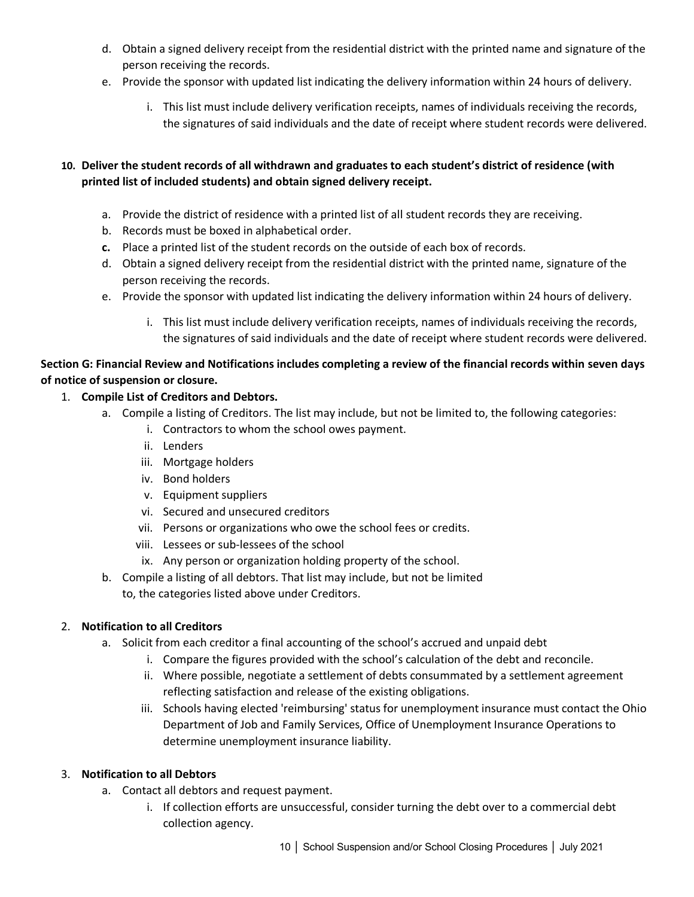- d. Obtain a signed delivery receipt from the residential district with the printed name and signature of the person receiving the records.
- e. Provide the sponsor with updated list indicating the delivery information within 24 hours of delivery.
	- i. This list must include delivery verification receipts, names of individuals receiving the records, the signatures of said individuals and the date of receipt where student records were delivered.

## **10. Deliver the student records of all withdrawn and graduates to each student's district of residence (with printed list of included students) and obtain signed delivery receipt.**

- a. Provide the district of residence with a printed list of all student records they are receiving.
- b. Records must be boxed in alphabetical order.
- **c.** Place a printed list of the student records on the outside of each box of records.
- d. Obtain a signed delivery receipt from the residential district with the printed name, signature of the person receiving the records.
- e. Provide the sponsor with updated list indicating the delivery information within 24 hours of delivery.
	- i. This list must include delivery verification receipts, names of individuals receiving the records, the signatures of said individuals and the date of receipt where student records were delivered.

## **Section G: Financial Review and Notifications includes completing a review of the financial records within seven days of notice of suspension or closure.**

- 1. **Compile List of Creditors and Debtors.**
	- a. Compile a listing of Creditors. The list may include, but not be limited to, the following categories:
		- i. Contractors to whom the school owes payment.
		- ii. Lenders
		- iii. Mortgage holders
		- iv. Bond holders
		- v. Equipment suppliers
		- vi. Secured and unsecured creditors
		- vii. Persons or organizations who owe the school fees or credits.
		- viii. Lessees or sub-lessees of the school
		- ix. Any person or organization holding property of the school.
	- b. Compile a listing of all debtors. That list may include, but not be limited
		- to, the categories listed above under Creditors.

## 2. **Notification to all Creditors**

- a. Solicit from each creditor a final accounting of the school's accrued and unpaid debt
	- i. Compare the figures provided with the school's calculation of the debt and reconcile.
	- ii. Where possible, negotiate a settlement of debts consummated by a settlement agreement reflecting satisfaction and release of the existing obligations.
	- iii. Schools having elected 'reimbursing' status for unemployment insurance must contact the Ohio Department of Job and Family Services, Office of Unemployment Insurance Operations to determine unemployment insurance liability.

## 3. **Notification to all Debtors**

- a. Contact all debtors and request payment.
	- i. If collection efforts are unsuccessful, consider turning the debt over to a commercial debt collection agency.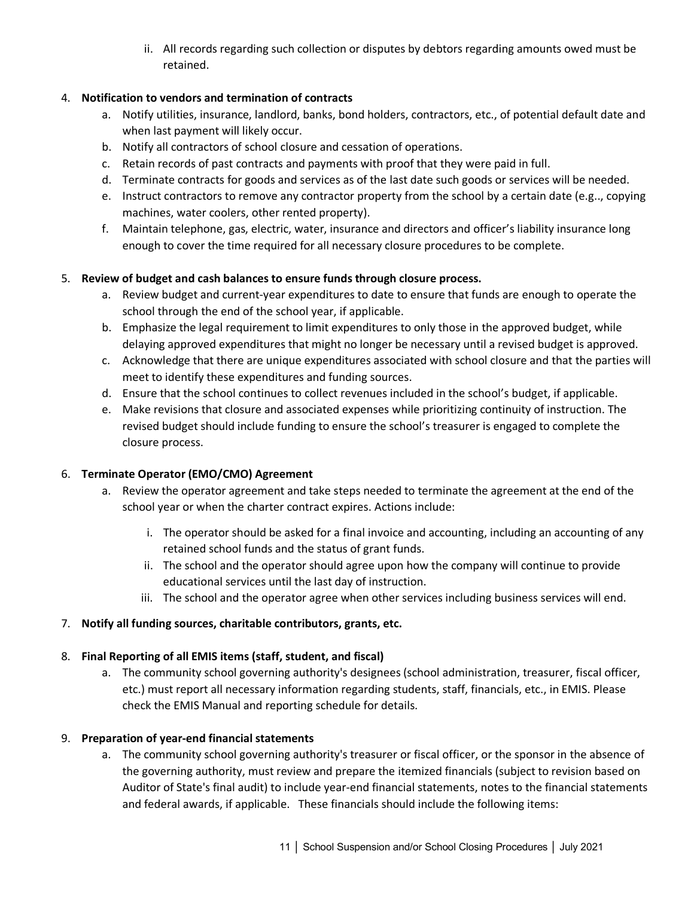ii. All records regarding such collection or disputes by debtors regarding amounts owed must be retained.

## 4. **Notification to vendors and termination of contracts**

- a. Notify utilities, insurance, landlord, banks, bond holders, contractors, etc., of potential default date and when last payment will likely occur.
- b. Notify all contractors of school closure and cessation of operations.
- c. Retain records of past contracts and payments with proof that they were paid in full.
- d. Terminate contracts for goods and services as of the last date such goods or services will be needed.
- e. Instruct contractors to remove any contractor property from the school by a certain date (e.g.., copying machines, water coolers, other rented property).
- f. Maintain telephone, gas, electric, water, insurance and directors and officer's liability insurance long enough to cover the time required for all necessary closure procedures to be complete.

## 5. **Review of budget and cash balances to ensure funds through closure process.**

- a. Review budget and current-year expenditures to date to ensure that funds are enough to operate the school through the end of the school year, if applicable.
- b. Emphasize the legal requirement to limit expenditures to only those in the approved budget, while delaying approved expenditures that might no longer be necessary until a revised budget is approved.
- c. Acknowledge that there are unique expenditures associated with school closure and that the parties will meet to identify these expenditures and funding sources.
- d. Ensure that the school continues to collect revenues included in the school's budget, if applicable.
- e. Make revisions that closure and associated expenses while prioritizing continuity of instruction. The revised budget should include funding to ensure the school's treasurer is engaged to complete the closure process.

## 6. **Terminate Operator (EMO/CMO) Agreement**

- a. Review the operator agreement and take steps needed to terminate the agreement at the end of the school year or when the charter contract expires. Actions include:
	- i. The operator should be asked for a final invoice and accounting, including an accounting of any retained school funds and the status of grant funds.
	- ii. The school and the operator should agree upon how the company will continue to provide educational services until the last day of instruction.
	- iii. The school and the operator agree when other services including business services will end.

# 7. **Notify all funding sources, charitable contributors, grants, etc.**

## 8. **Final Reporting of all EMIS items (staff, student, and fiscal)**

a. The community school governing authority's designees (school administration, treasurer, fiscal officer, etc.) must report all necessary information regarding students, staff, financials, etc., in EMIS. Please check the EMIS Manual and reporting schedule for details.

## 9. **Preparation of year-end financial statements**

a. The community school governing authority's treasurer or fiscal officer, or the sponsor in the absence of the governing authority, must review and prepare the itemized financials (subject to revision based on Auditor of State's final audit) to include year-end financial statements, notes to the financial statements and federal awards, if applicable. These financials should include the following items: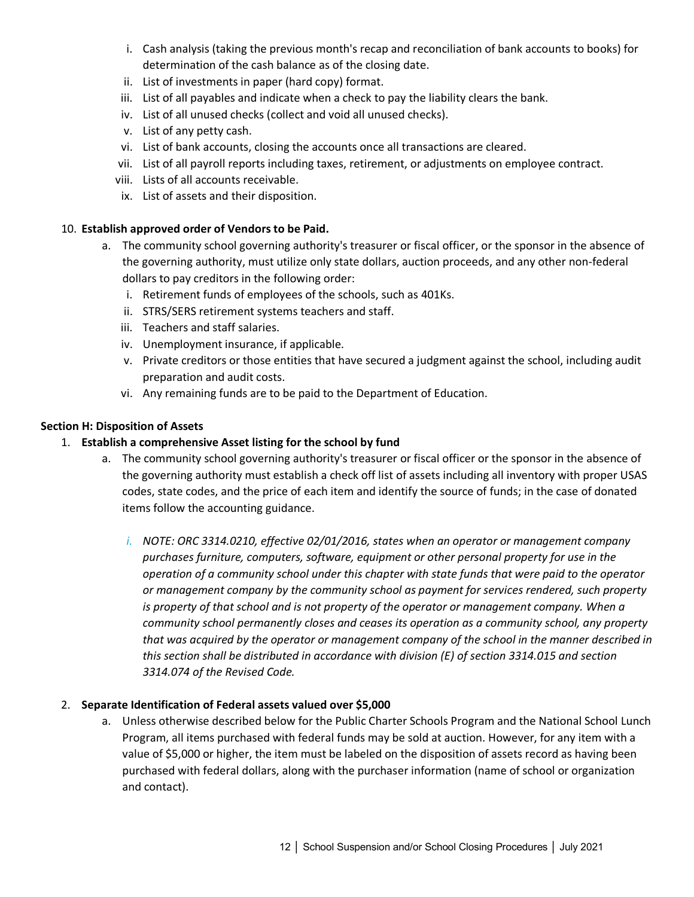- i. Cash analysis (taking the previous month's recap and reconciliation of bank accounts to books) for determination of the cash balance as of the closing date.
- ii. List of investments in paper (hard copy) format.
- iii. List of all payables and indicate when a check to pay the liability clears the bank.
- iv. List of all unused checks (collect and void all unused checks).
- v. List of any petty cash.
- vi. List of bank accounts, closing the accounts once all transactions are cleared.
- vii. List of all payroll reports including taxes, retirement, or adjustments on employee contract.
- viii. Lists of all accounts receivable.
- ix. List of assets and their disposition.

## 10. **Establish approved order of Vendors to be Paid.**

- a. The community school governing authority's treasurer or fiscal officer, or the sponsor in the absence of the governing authority, must utilize only state dollars, auction proceeds, and any other non-federal dollars to pay creditors in the following order:
	- i. Retirement funds of employees of the schools, such as 401Ks.
	- ii. STRS/SERS retirement systems teachers and staff.
	- iii. Teachers and staff salaries.
	- iv. Unemployment insurance, if applicable.
	- v. Private creditors or those entities that have secured a judgment against the school, including audit preparation and audit costs.
	- vi. Any remaining funds are to be paid to the Department of Education.

## **Section H: Disposition of Assets**

## 1. **Establish a comprehensive Asset listing for the school by fund**

- a. The community school governing authority's treasurer or fiscal officer or the sponsor in the absence of the governing authority must establish a check off list of assets including all inventory with proper USAS codes, state codes, and the price of each item and identify the source of funds; in the case of donated items follow the accounting guidance.
	- *i. NOTE: ORC 3314.0210, effective 02/01/2016, states when an operator or management company purchases furniture, computers, software, equipment or other personal property for use in the operation of a community school under this chapter with state funds that were paid to the operator or management company by the community school as payment for services rendered, such property is property of that school and is not property of the operator or management company. When a community school permanently closes and ceases its operation as a community school, any property that was acquired by the operator or management company of the school in the manner described in this section shall be distributed in accordance with division (E) of section 3314.015 and section 3314.074 of the Revised Code.*

## 2. **Separate Identification of Federal assets valued over \$5,000**

a. Unless otherwise described below for the Public Charter Schools Program and the National School Lunch Program, all items purchased with federal funds may be sold at auction. However, for any item with a value of \$5,000 or higher, the item must be labeled on the disposition of assets record as having been purchased with federal dollars, along with the purchaser information (name of school or organization and contact).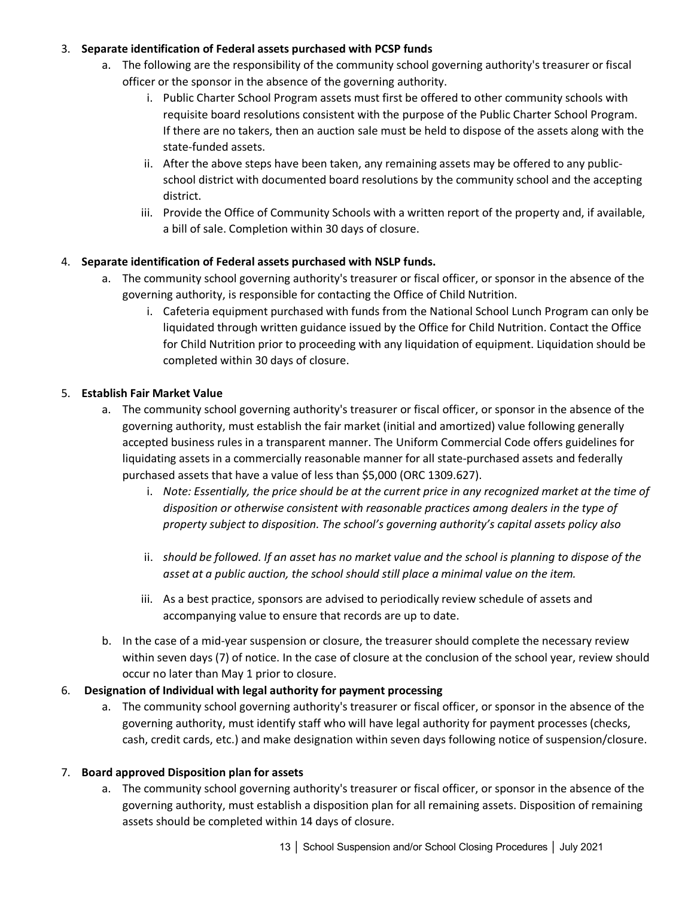## 3. **Separate identification of Federal assets purchased with PCSP funds**

- a. The following are the responsibility of the community school governing authority's treasurer or fiscal officer or the sponsor in the absence of the governing authority.
	- i. Public Charter School Program assets must first be offered to other community schools with requisite board resolutions consistent with the purpose of the Public Charter School Program. If there are no takers, then an auction sale must be held to dispose of the assets along with the state-funded assets.
	- ii. After the above steps have been taken, any remaining assets may be offered to any publicschool district with documented board resolutions by the community school and the accepting district.
	- iii. Provide the Office of Community Schools with a written report of the property and, if available, a bill of sale. Completion within 30 days of closure.

# 4. **Separate identification of Federal assets purchased with NSLP funds.**

- a. The community school governing authority's treasurer or fiscal officer, or sponsor in the absence of the governing authority, is responsible for contacting the Office of Child Nutrition.
	- i. Cafeteria equipment purchased with funds from the National School Lunch Program can only be liquidated through written guidance issued by the Office for Child Nutrition. Contact the Office for Child Nutrition prior to proceeding with any liquidation of equipment. Liquidation should be completed within 30 days of closure.

## 5. **Establish Fair Market Value**

- a. The community school governing authority's treasurer or fiscal officer, or sponsor in the absence of the governing authority, must establish the fair market (initial and amortized) value following generally accepted business rules in a transparent manner. The Uniform Commercial Code offers guidelines for liquidating assets in a commercially reasonable manner for all state-purchased assets and federally purchased assets that have a value of less than \$5,000 (ORC 1309.627).
	- i. *Note: Essentially, the price should be at the current price in any recognized market at the time of disposition or otherwise consistent with reasonable practices among dealers in the type of property subject to disposition. The school's governing authority's capital assets policy also*
	- ii. *should be followed. If an asset has no market value and the school is planning to dispose of the asset at a public auction, the school should still place a minimal value on the item.*
	- iii. As a best practice, sponsors are advised to periodically review schedule of assets and accompanying value to ensure that records are up to date.
- b. In the case of a mid-year suspension or closure, the treasurer should complete the necessary review within seven days (7) of notice. In the case of closure at the conclusion of the school year, review should occur no later than May 1 prior to closure.

# 6. **Designation of Individual with legal authority for payment processing**

a. The community school governing authority's treasurer or fiscal officer, or sponsor in the absence of the governing authority, must identify staff who will have legal authority for payment processes (checks, cash, credit cards, etc.) and make designation within seven days following notice of suspension/closure.

# 7. **Board approved Disposition plan for assets**

a. The community school governing authority's treasurer or fiscal officer, or sponsor in the absence of the governing authority, must establish a disposition plan for all remaining assets. Disposition of remaining assets should be completed within 14 days of closure.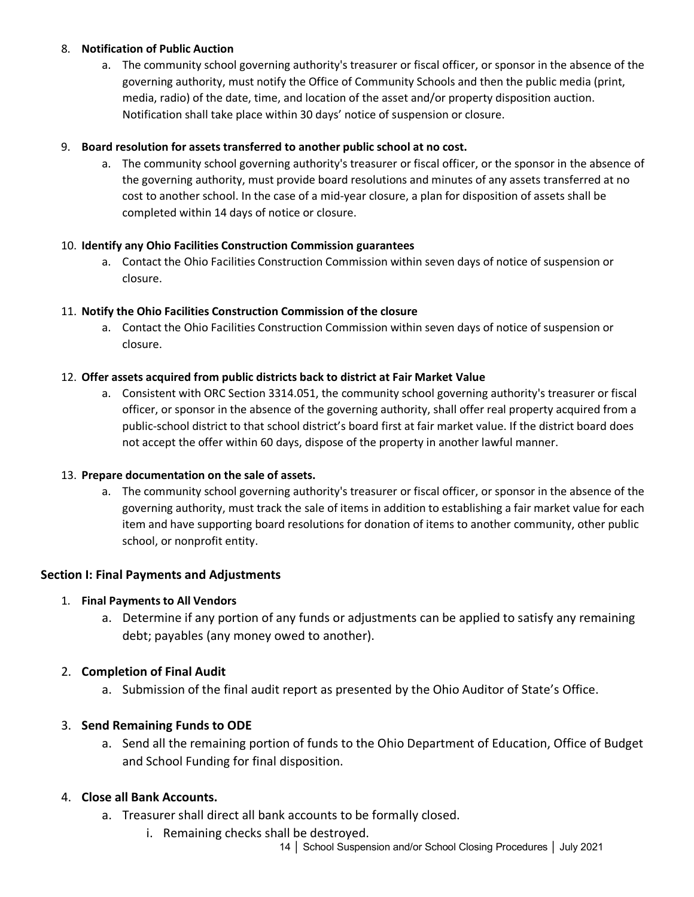#### 8. **Notification of Public Auction**

a. The community school governing authority's treasurer or fiscal officer, or sponsor in the absence of the governing authority, must notify the Office of Community Schools and then the public media (print, media, radio) of the date, time, and location of the asset and/or property disposition auction. Notification shall take place within 30 days' notice of suspension or closure.

### 9. **Board resolution for assets transferred to another public school at no cost.**

a. The community school governing authority's treasurer or fiscal officer, or the sponsor in the absence of the governing authority, must provide board resolutions and minutes of any assets transferred at no cost to another school. In the case of a mid-year closure, a plan for disposition of assets shall be completed within 14 days of notice or closure.

#### 10. **Identify any Ohio Facilities Construction Commission guarantees**

a. Contact the Ohio Facilities Construction Commission within seven days of notice of suspension or closure.

#### 11. **Notify the Ohio Facilities Construction Commission of the closure**

a. Contact the Ohio Facilities Construction Commission within seven days of notice of suspension or closure.

#### 12. **Offer assets acquired from public districts back to district at Fair Market Value**

a. Consistent with ORC Section 3314.051, the community school governing authority's treasurer or fiscal officer, or sponsor in the absence of the governing authority, shall offer real property acquired from a public-school district to that school district's board first at fair market value. If the district board does not accept the offer within 60 days, dispose of the property in another lawful manner.

#### 13. **Prepare documentation on the sale of assets.**

a. The community school governing authority's treasurer or fiscal officer, or sponsor in the absence of the governing authority, must track the sale of items in addition to establishing a fair market value for each item and have supporting board resolutions for donation of items to another community, other public school, or nonprofit entity.

## **Section I: Final Payments and Adjustments**

#### 1. **Final Payments to All Vendors**

a. Determine if any portion of any funds or adjustments can be applied to satisfy any remaining debt; payables (any money owed to another).

## 2. **Completion of Final Audit**

a. Submission of the final audit report as presented by the Ohio Auditor of State's Office.

## 3. **Send Remaining Funds to ODE**

a. Send all the remaining portion of funds to the Ohio Department of Education, Office of Budget and School Funding for final disposition.

## 4. **Close all Bank Accounts.**

- a. Treasurer shall direct all bank accounts to be formally closed.
	- i. Remaining checks shall be destroyed.
		- 14 | School Suspension and/or School Closing Procedures | July 2021